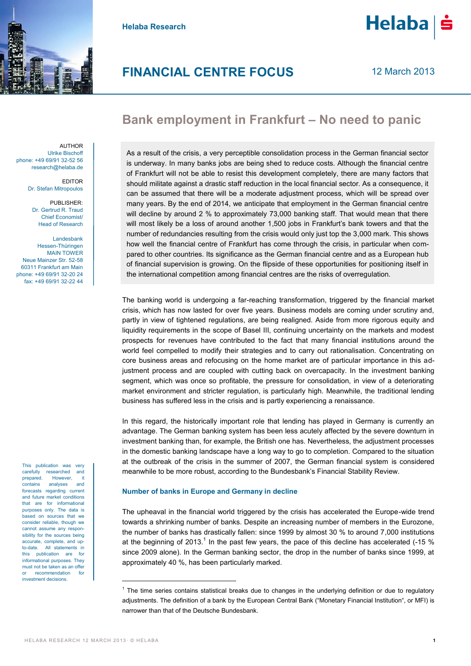

**Helaba Research**



12 March 2013

## **Bank employment in Frankfurt - No need to panic**

AUTHOR Ulrike Bischoff phone: +49 69/91 32-52 56 research@helaba.de

> EDITOR Dr. Stefan Mitropoulos

PUBLISHER: Dr. Gertrud R. Traud Chief Economist/ Head of Research

Landesbank Hessen-Thüringen MAIN TOWER Neue Mainzer Str. 52-58 60311 Frankfurt am Main phone: +49 69/91 32-20 24 fax: +49 69/91 32-22 44

This publication was very carefully researched and prepared. However, it contains analyses and forecasts regarding current and future market conditions that are for informational purposes only. The data is based on sources that we consider reliable, though we cannot assume any responsibility for the sources being accurate, complete, and upto-date. All statements in this publication are for informational purposes. They must not be taken as an offer recommendation for investment decisions.

As a result of the crisis, a very perceptible consolidation process in the German financial sector is underway. In many banks jobs are being shed to reduce costs. Although the financial centre of Frankfurt will not be able to resist this development completely, there are many factors that should militate against a drastic staff reduction in the local financial sector. As a consequence, it can be assumed that there will be a moderate adjustment process, which will be spread over many years. By the end of 2014, we anticipate that employment in the German financial centre will decline by around 2 % to approximately 73,000 banking staff. That would mean that there will most likely be a loss of around another 1,500 jobs in Frankfurt's bank towers and that the number of redundancies resulting from the crisis would only just top the 3,000 mark. This shows how well the financial centre of Frankfurt has come through the crisis, in particular when compared to other countries. Its significance as the German financial centre and as a European hub of financial supervision is growing. On the flipside of these opportunities for positioning itself in the international competition among financial centres are the risks of overregulation.

The banking world is undergoing a far-reaching transformation, triggered by the financial market crisis, which has now lasted for over five years. Business models are coming under scrutiny and, partly in view of tightened regulations, are being realigned. Aside from more rigorous equity and liquidity requirements in the scope of Basel III, continuing uncertainty on the markets and modest prospects for revenues have contributed to the fact that many financial institutions around the world feel compelled to modify their strategies and to carry out rationalisation. Concentrating on core business areas and refocusing on the home market are of particular importance in this adjustment process and are coupled with cutting back on overcapacity. In the investment banking segment, which was once so profitable, the pressure for consolidation, in view of a deteriorating market environment and stricter regulation, is particularly high. Meanwhile, the traditional lending business has suffered less in the crisis and is partly experiencing a renaissance.

In this regard, the historically important role that lending has played in Germany is currently an advantage. The German banking system has been less acutely affected by the severe downturn in investment banking than, for example, the British one has. Nevertheless, the adjustment processes in the domestic banking landscape have a long way to go to completion. Compared to the situation at the outbreak of the crisis in the summer of 2007, the German financial system is considered meanwhile to be more robust, according to the Bundesbank's Financial Stability Review.

## **Number of banks in Europe and Germany in decline**

The upheaval in the financial world triggered by the crisis has accelerated the Europe-wide trend towards a shrinking number of banks. Despite an increasing number of members in the Eurozone, the number of banks has drastically fallen: since 1999 by almost 30 % to around 7,000 institutions at the beginning of 2013.<sup>1</sup> In the past few years, the pace of this decline has accelerated (-15 % since 2009 alone). In the German banking sector, the drop in the number of banks since 1999, at approximately 40 %, has been particularly marked.

-

<sup>&</sup>lt;sup>1</sup> The time series contains statistical breaks due to changes in the underlying definition or due to regulatory adjustments. The definition of a bank by the European Central Bank ("Monetary Financial Institution", or MFI) is narrower than that of the Deutsche Bundesbank.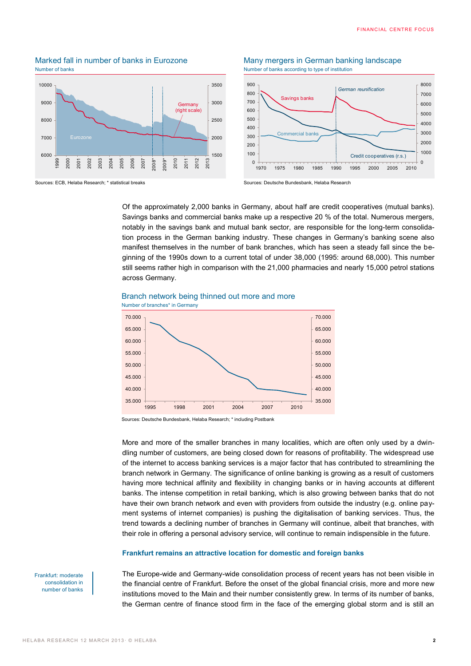# Number of banks according to type of institution Number of banks according to type of institution









Of the approximately 2,000 banks in Germany, about half are credit cooperatives (mutual banks). Savings banks and commercial banks make up a respective 20 % of the total. Numerous mergers, notably in the savings bank and mutual bank sector, are responsible for the long-term consolidation process in the German banking industry. These changes in Germany's banking scene also manifest themselves in the number of bank branches, which has seen a steady fall since the beginning of the 1990s down to a current total of under 38,000 (1995: around 68,000). This number still seems rather high in comparison with the 21,000 pharmacies and nearly 15,000 petrol stations across Germany.

## Branch network being thinned out more and more



Sources: Deutsche Bundesbank, Helaba Research; \* including Postbank

More and more of the smaller branches in many localities, which are often only used by a dwindling number of customers, are being closed down for reasons of profitability. The widespread use of the internet to access banking services is a major factor that has contributed to streamlining the branch network in Germany. The significance of online banking is growing as a result of customers having more technical affinity and flexibility in changing banks or in having accounts at different banks. The intense competition in retail banking, which is also growing between banks that do not have their own branch network and even with providers from outside the industry (e.g. online payment systems of internet companies) is pushing the digitalisation of banking services. Thus, the trend towards a declining number of branches in Germany will continue, albeit that branches, with their role in offering a personal advisory service, will continue to remain indispensible in the future.

#### **Frankfurt remains an attractive location for domestic and foreign banks**

Frankfurt: moderate consolidation in number of banks The Europe-wide and Germany-wide consolidation process of recent years has not been visible in the financial centre of Frankfurt. Before the onset of the global financial crisis, more and more new institutions moved to the Main and their number consistently grew. In terms of its number of banks, the German centre of finance stood firm in the face of the emerging global storm and is still an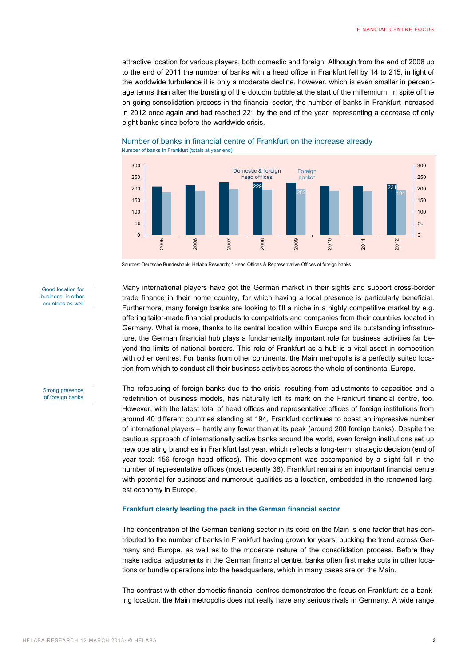attractive location for various players, both domestic and foreign. Although from the end of 2008 up to the end of 2011 the number of banks with a head office in Frankfurt fell by 14 to 215, in light of the worldwide turbulence it is only a moderate decline, however, which is even smaller in percentage terms than after the bursting of the dotcom bubble at the start of the millennium. In spite of the on-going consolidation process in the financial sector, the number of banks in Frankfurt increased in 2012 once again and had reached 221 by the end of the year, representing a decrease of only eight banks since before the worldwide crisis.



## Number of banks in financial centre of Frankfurt on the increase already Number of banks in Frankfurt (totals at year end)

Sources: Deutsche Bundesbank, Helaba Research; \* Head Offices & Representative Offices of foreign banks

Good location for business, in other countries as well

Many international players have got the German market in their sights and support cross-border trade finance in their home country, for which having a local presence is particularly beneficial. Furthermore, many foreign banks are looking to fill a niche in a highly competitive market by e.g. offering tailor-made financial products to compatriots and companies from their countries located in Germany. What is more, thanks to its central location within Europe and its outstanding infrastructure, the German financial hub plays a fundamentally important role for business activities far beyond the limits of national borders. This role of Frankfurt as a hub is a vital asset in competition with other centres. For banks from other continents, the Main metropolis is a perfectly suited location from which to conduct all their business activities across the whole of continental Europe.

Strong presence of foreign banks The refocusing of foreign banks due to the crisis, resulting from adjustments to capacities and a redefinition of business models, has naturally left its mark on the Frankfurt financial centre, too. However, with the latest total of head offices and representative offices of foreign institutions from around 40 different countries standing at 194, Frankfurt continues to boast an impressive number of international players – hardly any fewer than at its peak (around 200 foreign banks). Despite the cautious approach of internationally active banks around the world, even foreign institutions set up new operating branches in Frankfurt last year, which reflects a long-term, strategic decision (end of year total: 156 foreign head offices). This development was accompanied by a slight fall in the number of representative offices (most recently 38). Frankfurt remains an important financial centre with potential for business and numerous qualities as a location, embedded in the renowned largest economy in Europe.

## **Frankfurt clearly leading the pack in the German financial sector**

The concentration of the German banking sector in its core on the Main is one factor that has contributed to the number of banks in Frankfurt having grown for years, bucking the trend across Germany and Europe, as well as to the moderate nature of the consolidation process. Before they make radical adjustments in the German financial centre, banks often first make cuts in other locations or bundle operations into the headquarters, which in many cases are on the Main.

The contrast with other domestic financial centres demonstrates the focus on Frankfurt: as a banking location, the Main metropolis does not really have any serious rivals in Germany. A wide range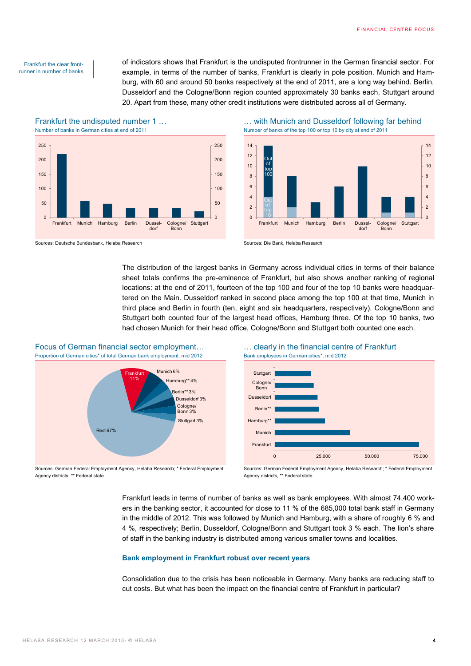#### Frankfurt the clear frontrunner in number of banks

of indicators shows that Frankfurt is the undisputed frontrunner in the German financial sector. For example, in terms of the number of banks, Frankfurt is clearly in pole position. Munich and Hamburg, with 60 and around 50 banks respectively at the end of 2011, are a long way behind. Berlin, Dusseldorf and the Cologne/Bonn region counted approximately 30 banks each, Stuttgart around 20. Apart from these, many other credit institutions were distributed across all of Germany.

Number of banks in German cities at end of 2011 Number of banks of the top 100 or top 10 by city at end of 2011



Frankfurt the undisputed number 1 … … with Munich and Dusseldorf following far behind



Sources: Deutsche Bundesbank, Helaba Research Sources: Die Bank, Helaba Research

The distribution of the largest banks in Germany across individual cities in terms of their balance sheet totals confirms the pre-eminence of Frankfurt, but also shows another ranking of regional locations: at the end of 2011, fourteen of the top 100 and four of the top 10 banks were headquartered on the Main. Dusseldorf ranked in second place among the top 100 at that time, Munich in third place and Berlin in fourth (ten, eight and six headquarters, respectively). Cologne/Bonn and Stuttgart both counted four of the largest head offices, Hamburg three. Of the top 10 banks, two had chosen Munich for their head office, Cologne/Bonn and Stuttgart both counted one each.





Sources: German Federal Employment Agency, Helaba Research; \* Federal Employment Agency districts, \*\* Federal state

Sources: German Federal Employment Agency, Helaba Research; \* Federal Employment Agency districts, \*\* Federal state

Frankfurt leads in terms of number of banks as well as bank employees. With almost 74,400 workers in the banking sector, it accounted for close to 11 % of the 685,000 total bank staff in Germany in the middle of 2012. This was followed by Munich and Hamburg, with a share of roughly 6 % and 4 %, respectively; Berlin, Dusseldorf, Cologne/Bonn and Stuttgart took 3 % each. The lion's share of staff in the banking industry is distributed among various smaller towns and localities.

## **Bank employment in Frankfurt robust over recent years**

Consolidation due to the crisis has been noticeable in Germany. Many banks are reducing staff to cut costs. But what has been the impact on the financial centre of Frankfurt in particular?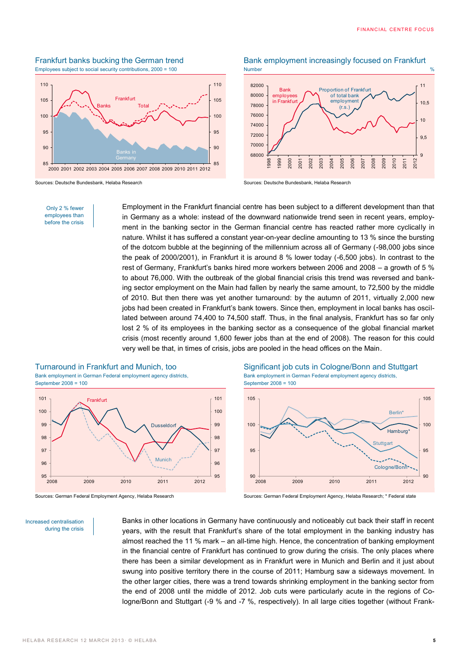## Frankfurt banks bucking the German trend Bank employment increasingly focused on Frankfurt Employees subject to social security contributions, 2000 = 100 Number



Sources: Deutsche Bundesbank, Helaba Research Sources: Deutsche Bundesbank, Helaba Research



1998 1999 2000 2001 2002 2003 2004 2005 2006 2007 2008 2009 2010 2011 2012

Only 2 % fewer employees than before the crisis

Employment in the Frankfurt financial centre has been subject to a different development than that in Germany as a whole: instead of the downward nationwide trend seen in recent years, employment in the banking sector in the German financial centre has reacted rather more cyclically in nature. Whilst it has suffered a constant year-on-year decline amounting to 13 % since the bursting of the dotcom bubble at the beginning of the millennium across all of Germany (-98,000 jobs since the peak of 2000/2001), in Frankfurt it is around 8 % lower today (-6,500 jobs). In contrast to the rest of Germany, Frankfurt's banks hired more workers between 2006 and 2008 – a growth of 5 % to about 76,000. With the outbreak of the global financial crisis this trend was reversed and banking sector employment on the Main had fallen by nearly the same amount, to 72,500 by the middle of 2010. But then there was yet another turnaround: by the autumn of 2011, virtually 2,000 new jobs had been created in Frankfurt's bank towers. Since then, employment in local banks has oscillated between around 74,400 to 74,500 staff. Thus, in the final analysis, Frankfurt has so far only lost 2 % of its employees in the banking sector as a consequence of the global financial market crisis (most recently around 1,600 fewer jobs than at the end of 2008). The reason for this could very well be that, in times of crisis, jobs are pooled in the head offices on the Main.

## Bank employment in German Federal employment agency districts,

September 2008 = 100



Increased centralisation during the crisis

Turnaround in Frankfurt and Munich, too Significant job cuts in Cologne/Bonn and Stuttgart Bank employment in German Federal employment agency districts, September 2008 = 100



Sources: German Federal Employment Agency, Helaba Research Sources: German Federal Employment Agency, Helaba Research; \* Federal state

Banks in other locations in Germany have continuously and noticeably cut back their staff in recent years, with the result that Frankfurt's share of the total employment in the banking industry has almost reached the 11 % mark – an all-time high. Hence, the concentration of banking employment in the financial centre of Frankfurt has continued to grow during the crisis. The only places where there has been a similar development as in Frankfurt were in Munich and Berlin and it just about swung into positive territory there in the course of 2011; Hamburg saw a sideways movement. In the other larger cities, there was a trend towards shrinking employment in the banking sector from the end of 2008 until the middle of 2012. Job cuts were particularly acute in the regions of Cologne/Bonn and Stuttgart (-9 % and -7 %, respectively). In all large cities together (without Frank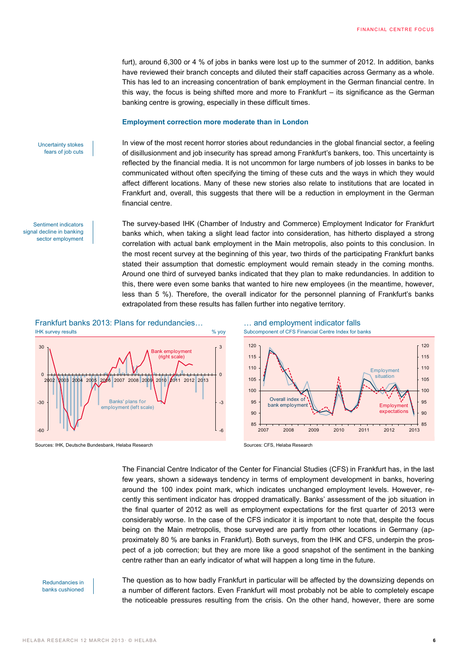furt), around 6,300 or 4 % of jobs in banks were lost up to the summer of 2012. In addition, banks have reviewed their branch concepts and diluted their staff capacities across Germany as a whole. This has led to an increasing concentration of bank employment in the German financial centre. In this way, the focus is being shifted more and more to Frankfurt – its significance as the German banking centre is growing, especially in these difficult times.

#### **Employment correction more moderate than in London**

Uncertainty stokes fears of job cuts

Sentiment indicators signal decline in banking sector employment In view of the most recent horror stories about redundancies in the global financial sector, a feeling of disillusionment and job insecurity has spread among Frankfurt's bankers, too. This uncertainty is reflected by the financial media. It is not uncommon for large numbers of job losses in banks to be communicated without often specifying the timing of these cuts and the ways in which they would affect different locations. Many of these new stories also relate to institutions that are located in Frankfurt and, overall, this suggests that there will be a reduction in employment in the German financial centre.

The survey-based IHK (Chamber of Industry and Commerce) Employment Indicator for Frankfurt banks which, when taking a slight lead factor into consideration, has hitherto displayed a strong correlation with actual bank employment in the Main metropolis, also points to this conclusion. In the most recent survey at the beginning of this year, two thirds of the participating Frankfurt banks stated their assumption that domestic employment would remain steady in the coming months. Around one third of surveyed banks indicated that they plan to make redundancies. In addition to this, there were even some banks that wanted to hire new employees (in the meantime, however, less than 5 %). Therefore, the overall indicator for the personnel planning of Frankfurt's banks extrapolated from these results has fallen further into negative territory.



Sources: IHK, Deutsche Bundesbank, Helaba Research Sources: CFS, Helaba Research Sources: CFS, Helaba Research



The Financial Centre Indicator of the Center for Financial Studies (CFS) in Frankfurt has, in the last few years, shown a sideways tendency in terms of employment development in banks, hovering around the 100 index point mark, which indicates unchanged employment levels. However, recently this sentiment indicator has dropped dramatically. Banks' assessment of the job situation in the final quarter of 2012 as well as employment expectations for the first quarter of 2013 were considerably worse. In the case of the CFS indicator it is important to note that, despite the focus being on the Main metropolis, those surveyed are partly from other locations in Germany (approximately 80 % are banks in Frankfurt). Both surveys, from the IHK and CFS, underpin the prospect of a job correction; but they are more like a good snapshot of the sentiment in the banking centre rather than an early indicator of what will happen a long time in the future.

#### Redundancies in banks cushioned

The question as to how badly Frankfurt in particular will be affected by the downsizing depends on a number of different factors. Even Frankfurt will most probably not be able to completely escape the noticeable pressures resulting from the crisis. On the other hand, however, there are some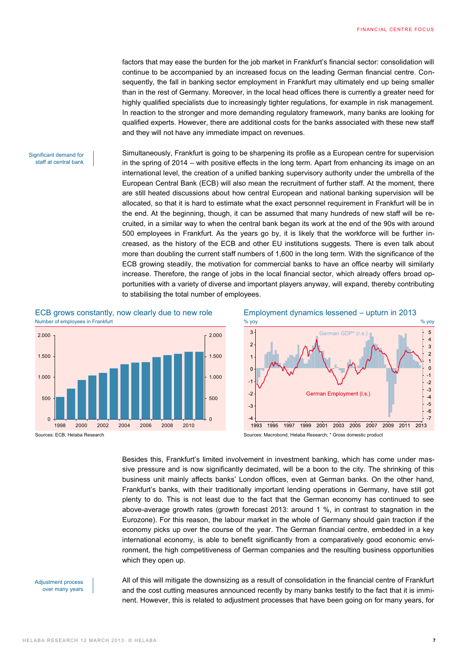factors that may ease the burden for the job market in Frankfurt's financial sector: consolidation will continue to be accompanied by an increased focus on the leading German financial centre. Consequently, the fall in banking sector employment in Frankfurt may ultimately end up being smaller than in the rest of Germany. Moreover, in the local head offices there is currently a greater need for highly qualified specialists due to increasingly tighter regulations, for example in risk management. In reaction to the stronger and more demanding regulatory framework, many banks are looking for qualified experts. However, there are additional costs for the banks associated with these new staff and they will not have any immediate impact on revenues.

#### Significant demand for staff at central bank

Simultaneously, Frankfurt is going to be sharpening its profile as a European centre for supervision in the spring of 2014 – with positive effects in the long term. Apart from enhancing its image on an international level, the creation of a unified banking supervisory authority under the umbrella of the European Central Bank (ECB) will also mean the recruitment of further staff. At the moment, there are still heated discussions about how central European and national banking supervision will be allocated, so that it is hard to estimate what the exact personnel requirement in Frankfurt will be in the end. At the beginning, though, it can be assumed that many hundreds of new staff will be recruited, in a similar way to when the central bank began its work at the end of the 90s with around 500 employees in Frankfurt. As the years go by, it is likely that the workforce will be further increased, as the history of the ECB and other EU institutions suggests. There is even talk about more than doubling the current staff numbers of 1,600 in the long term. With the significance of the ECB growing steadily, the motivation for commercial banks to have an office nearby will similarly increase. Therefore, the range of jobs in the local financial sector, which already offers broad opportunities with a variety of diverse and important players anyway, will expand, thereby contributing to stabilising the total number of employees.

ECB grows constantly, now clearly due to new role Employment dynamics lessened – upturn in 2013 Number of employees in Frankfurt  $\%$  yoy  $\%$  yoy  $\%$  yoy  $\%$  yoy  $\%$  yoy  $\%$  yoy  $\%$ 





Sources: ECB, Helaba Research Sources: Macrobond, Helaba Research; \* Gross domestic product

Besides this, Frankfurt's limited involvement in investment banking, which has come under massive pressure and is now significantly decimated, will be a boon to the city. The shrinking of this business unit mainly affects banks' London offices, even at German banks. On the other hand, Frankfurt's banks, with their traditionally important lending operations in Germany, have still got plenty to do. This is not least due to the fact that the German economy has continued to see above-average growth rates (growth forecast 2013: around 1 %, in contrast to stagnation in the Eurozone). For this reason, the labour market in the whole of Germany should gain traction if the economy picks up over the course of the year. The German financial centre, embedded in a key international economy, is able to benefit significantly from a comparatively good economic environment, the high competitiveness of German companies and the resulting business opportunities which they open up.

#### Adjustment process over many years

All of this will mitigate the downsizing as a result of consolidation in the financial centre of Frankfurt and the cost cutting measures announced recently by many banks testify to the fact that it is imminent. However, this is related to adjustment processes that have been going on for many years, for